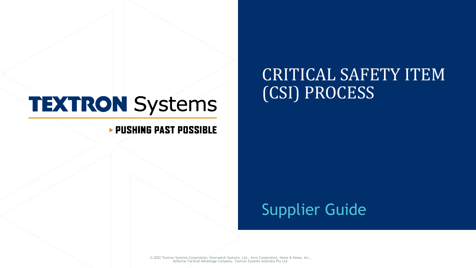# **TEXTRON Systems**

### **PUSHING PAST POSSIBLE**

## Supplier Guide

(CSI) PROCESS

CRITICAL SAFETY ITEM

© 2022 Textron Systems Corporation, Overwatch Systems, Ltd., Avco Corporation, Howe & Howe, Inc., Airborne Tactical Advantage Company, Textron Systems Australia Pty Ltd.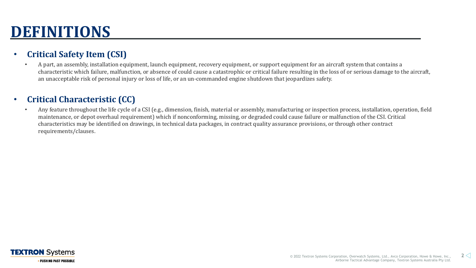## **DEFINITIONS**

### • **Critical Safety Item (CSI)**

• A part, an assembly, installation equipment, launch equipment, recovery equipment, or support equipment for an aircraft system that contains a characteristic which failure, malfunction, or absence of could cause a catastrophic or critical failure resulting in the loss of or serious damage to the aircraft, an unacceptable risk of personal injury or loss of life, or an un-commanded engine shutdown that jeopardizes safety.

### • **Critical Characteristic (CC)**

• Any feature throughout the life cycle of a CSI (e.g., dimension, finish, material or assembly, manufacturing or inspection process, installation, operation, field maintenance, or depot overhaul requirement) which if nonconforming, missing, or degraded could cause failure or malfunction of the CSI. Critical characteristics may be identified on drawings, in technical data packages, in contract quality assurance provisions, or through other contract requirements/clauses.

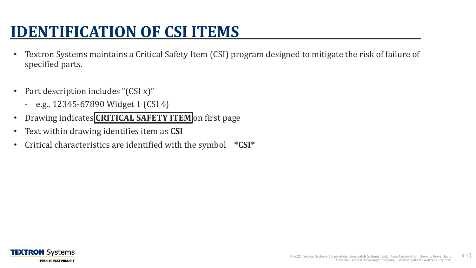## **IDENTIFICATION OF CSI ITEMS**

- Textron Systems maintains a Critical Safety Item (CSI) program designed to mitigate the risk of failure of specified parts.
- Part description includes "(CSI x)"
	- e.g., 12345-67890 Widget 1 (CSI 4)
- Drawing indicates **CRITICAL SAFETY ITEM** on first page
- Text within drawing identifies item as **CSI**
- Critical characteristics are identified with the symbol **\*CSI\***

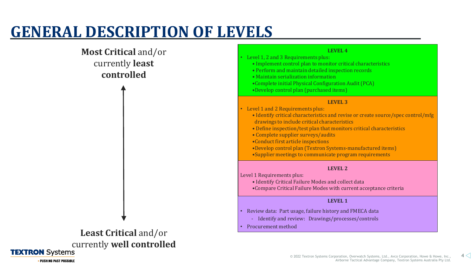## **GENERAL DESCRIPTION OF LEVELS**

### **Most Critical** and/or currently **least controlled**

**Least Critical** and/or currently well controlled

#### **LEVEL 4**

- Level 1, 2 and 3 Requirements plus: • Implement control plan to monitor critical characteristics
	- Perform and maintain detailed inspection records
	- Maintain serialization information
	- •Complete initial Physical Configuration Audit (PCA)
	- •Develop control plan (purchased items)

#### **LEVEL 3**

- Level 1 and 2 Requirements plus:
	- Identify critical characteristics and revise or create source/spec control/mfg drawings to include critical characteristics
	- Define inspection/test plan that monitors critical characteristics
	- Complete supplier surveys/audits
	- •Conduct first article inspections
	- •Develop control plan (Textron Systems-manufactured items) •Supplier meetings to communicate program requirements

#### **LEVEL 2**

Level 1 Requirements plus:

• Identify Critical Failure Modes and collect data •Compare Critical Failure Modes with current acceptance criteria

#### **LEVEL 1**

- Review data: Part usage, failure history and FMECA data
	- Identify and review: Drawings/processes/controls
- Procurement method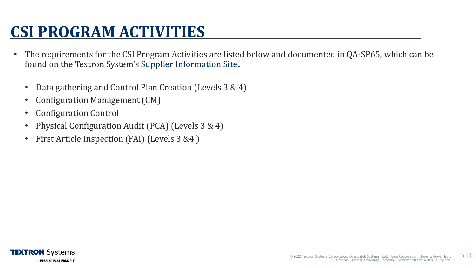## **CSI PROGRAM ACTIVITIES**

- The requirements for the CSI Program Activities are listed below and documented in QA-SP65, which can be found on the Textron System's [Supplier Information Site](https://www.textronsystems.com/services-support/suppliers).
	- Data gathering and Control Plan Creation (Levels 3 & 4)
	- Configuration Management (CM)
	- Configuration Control
	- Physical Configuration Audit (PCA) (Levels 3 & 4)
	- First Article Inspection (FAI) (Levels 3 &4 )

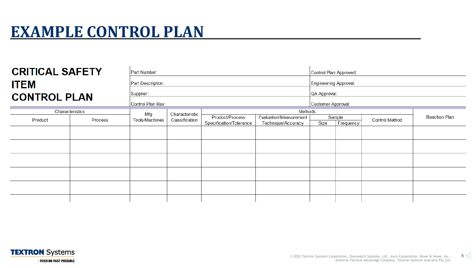### **EXAMPLE CONTROL PLAN**

| <b>CRITICAL SAFETY</b><br><b>ITEM</b><br><b>CONTROL PLAN</b> |         | Part Number:<br>Part Description:<br>Supplier:<br>Control Plan Rev: |                                  |                                            |                                              | Control Plan Approved:<br><b>Engineering Approval:</b><br>QA Approval:<br>Customer Approval: |                     |                       |                      |
|--------------------------------------------------------------|---------|---------------------------------------------------------------------|----------------------------------|--------------------------------------------|----------------------------------------------|----------------------------------------------------------------------------------------------|---------------------|-----------------------|----------------------|
| Characteristics                                              |         |                                                                     |                                  | Methods                                    |                                              |                                                                                              |                     |                       |                      |
| Product                                                      | Process | Mfg<br><b>Tools/Machines</b>                                        | Characteristic<br>Classification | Product/Process<br>Specification/Tolerance | Evaluation/Measurement<br>Technique/Accuracy | Size                                                                                         | Sample<br>Frequency | <b>Control Method</b> | <b>Reaction Plan</b> |
|                                                              |         |                                                                     |                                  |                                            |                                              |                                                                                              |                     |                       |                      |
|                                                              |         |                                                                     |                                  |                                            |                                              |                                                                                              |                     |                       |                      |
|                                                              |         |                                                                     |                                  |                                            |                                              |                                                                                              |                     |                       |                      |
|                                                              |         |                                                                     |                                  |                                            |                                              |                                                                                              |                     |                       |                      |
|                                                              |         |                                                                     |                                  |                                            |                                              |                                                                                              |                     |                       |                      |
|                                                              |         |                                                                     |                                  |                                            |                                              |                                                                                              |                     |                       |                      |